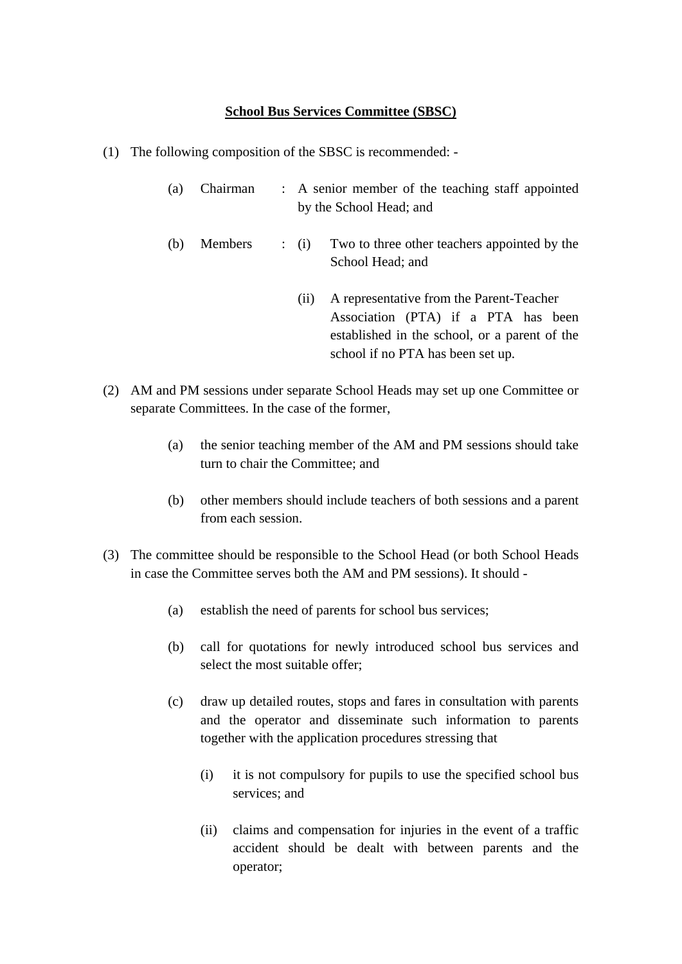## **School Bus Services Committee (SBSC)**

- (1) The following composition of the SBSC is recommended:
	- (a) Chairman : A senior member of the teaching staff appointed by the School Head; and
	- (b) Members : (i) Two to three other teachers appointed by the School Head; and
		- (ii) A representative from the Parent-Teacher Association (PTA) if a PTA has been established in the school, or a parent of the school if no PTA has been set up.
- (2) AM and PM sessions under separate School Heads may set up one Committee or separate Committees. In the case of the former,
	- (a) the senior teaching member of the AM and PM sessions should take turn to chair the Committee; and
	- (b) other members should include teachers of both sessions and a parent from each session.
- (3) The committee should be responsible to the School Head (or both School Heads in case the Committee serves both the AM and PM sessions). It should -
	- (a) establish the need of parents for school bus services;
	- (b) call for quotations for newly introduced school bus services and select the most suitable offer;
	- (c) draw up detailed routes, stops and fares in consultation with parents and the operator and disseminate such information to parents together with the application procedures stressing that
		- (i) it is not compulsory for pupils to use the specified school bus services; and
		- (ii) claims and compensation for injuries in the event of a traffic accident should be dealt with between parents and the operator;